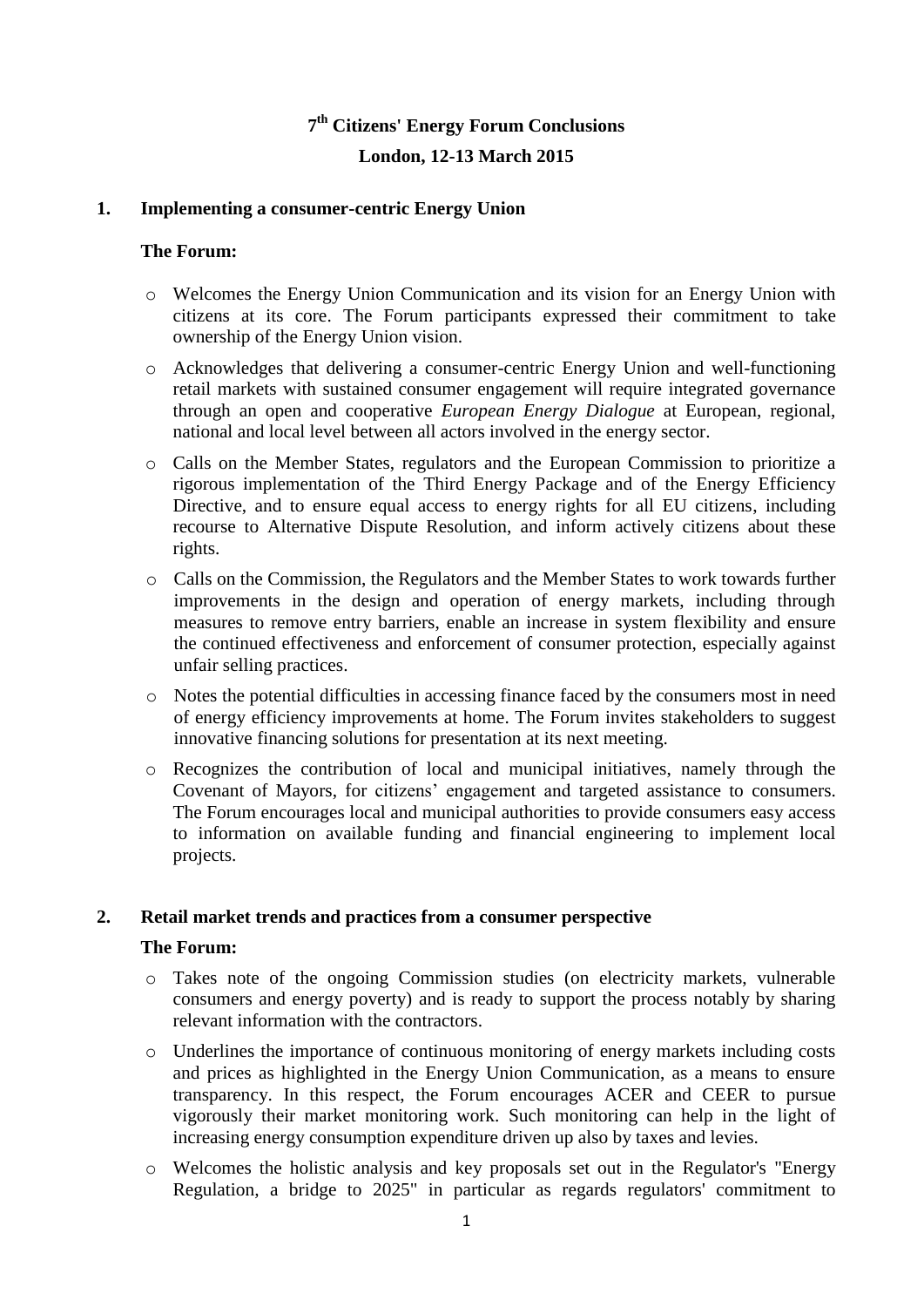# **7 th Citizens' Energy Forum Conclusions London, 12-13 March 2015**

### **1. Implementing a consumer-centric Energy Union**

### **The Forum:**

- o Welcomes the Energy Union Communication and its vision for an Energy Union with citizens at its core. The Forum participants expressed their commitment to take ownership of the Energy Union vision.
- o Acknowledges that delivering a consumer-centric Energy Union and well-functioning retail markets with sustained consumer engagement will require integrated governance through an open and cooperative *European Energy Dialogue* at European, regional, national and local level between all actors involved in the energy sector.
- o Calls on the Member States, regulators and the European Commission to prioritize a rigorous implementation of the Third Energy Package and of the Energy Efficiency Directive, and to ensure equal access to energy rights for all EU citizens, including recourse to Alternative Dispute Resolution, and inform actively citizens about these rights.
- o Calls on the Commission, the Regulators and the Member States to work towards further improvements in the design and operation of energy markets, including through measures to remove entry barriers, enable an increase in system flexibility and ensure the continued effectiveness and enforcement of consumer protection, especially against unfair selling practices.
- o Notes the potential difficulties in accessing finance faced by the consumers most in need of energy efficiency improvements at home. The Forum invites stakeholders to suggest innovative financing solutions for presentation at its next meeting.
- o Recognizes the contribution of local and municipal initiatives, namely through the Covenant of Mayors, for citizens' engagement and targeted assistance to consumers. The Forum encourages local and municipal authorities to provide consumers easy access to information on available funding and financial engineering to implement local projects.

### **2. Retail market trends and practices from a consumer perspective**

### **The Forum:**

- o Takes note of the ongoing Commission studies (on electricity markets, vulnerable consumers and energy poverty) and is ready to support the process notably by sharing relevant information with the contractors.
- o Underlines the importance of continuous monitoring of energy markets including costs and prices as highlighted in the Energy Union Communication, as a means to ensure transparency. In this respect, the Forum encourages ACER and CEER to pursue vigorously their market monitoring work. Such monitoring can help in the light of increasing energy consumption expenditure driven up also by taxes and levies.
- o Welcomes the holistic analysis and key proposals set out in the Regulator's "Energy Regulation*,* a bridge to 2025" in particular as regards regulators' commitment to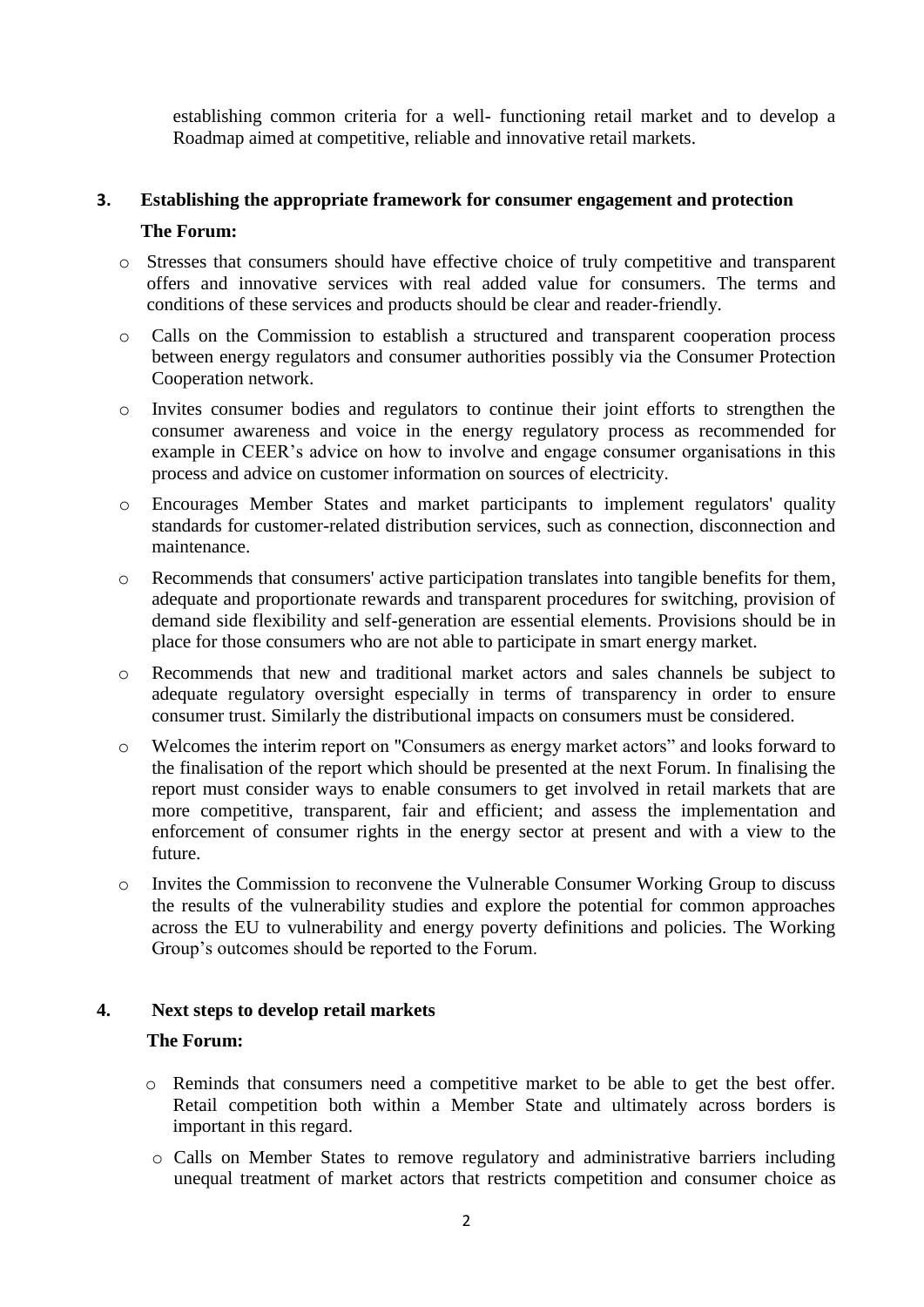establishing common criteria for a well- functioning retail market and to develop a Roadmap aimed at competitive, reliable and innovative retail markets.

# **3. Establishing the appropriate framework for consumer engagement and protection The Forum:**

- o Stresses that consumers should have effective choice of truly competitive and transparent offers and innovative services with real added value for consumers. The terms and conditions of these services and products should be clear and reader-friendly.
- o Calls on the Commission to establish a structured and transparent cooperation process between energy regulators and consumer authorities possibly via the Consumer Protection Cooperation network.
- o Invites consumer bodies and regulators to continue their joint efforts to strengthen the consumer awareness and voice in the energy regulatory process as recommended for example in CEER's advice on how to involve and engage consumer organisations in this process and advice on customer information on sources of electricity.
- o Encourages Member States and market participants to implement regulators' quality standards for customer-related distribution services, such as connection, disconnection and maintenance.
- o Recommends that consumers' active participation translates into tangible benefits for them, adequate and proportionate rewards and transparent procedures for switching, provision of demand side flexibility and self-generation are essential elements. Provisions should be in place for those consumers who are not able to participate in smart energy market.
- o Recommends that new and traditional market actors and sales channels be subject to adequate regulatory oversight especially in terms of transparency in order to ensure consumer trust. Similarly the distributional impacts on consumers must be considered.
- o Welcomes the interim report on "Consumers as energy market actors" and looks forward to the finalisation of the report which should be presented at the next Forum. In finalising the report must consider ways to enable consumers to get involved in retail markets that are more competitive, transparent, fair and efficient; and assess the implementation and enforcement of consumer rights in the energy sector at present and with a view to the future.
- o Invites the Commission to reconvene the Vulnerable Consumer Working Group to discuss the results of the vulnerability studies and explore the potential for common approaches across the EU to vulnerability and energy poverty definitions and policies. The Working Group's outcomes should be reported to the Forum.

### **4. Next steps to develop retail markets**

### **The Forum:**

- o Reminds that consumers need a competitive market to be able to get the best offer. Retail competition both within a Member State and ultimately across borders is important in this regard.
- o Calls on Member States to remove regulatory and administrative barriers including unequal treatment of market actors that restricts competition and consumer choice as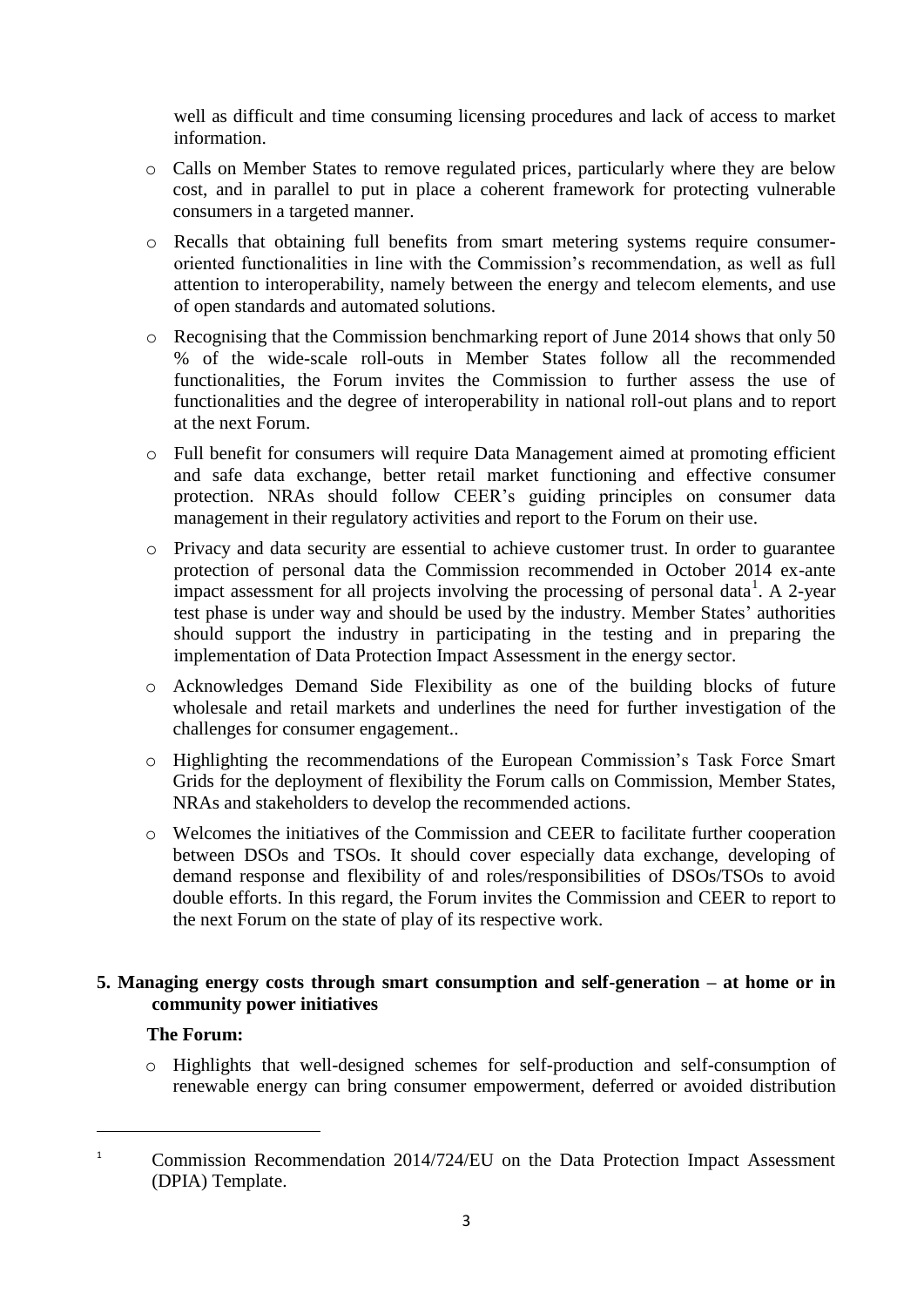well as difficult and time consuming licensing procedures and lack of access to market information.

- o Calls on Member States to remove regulated prices, particularly where they are below cost, and in parallel to put in place a coherent framework for protecting vulnerable consumers in a targeted manner.
- o Recalls that obtaining full benefits from smart metering systems require consumeroriented functionalities in line with the Commission's recommendation, as well as full attention to interoperability, namely between the energy and telecom elements, and use of open standards and automated solutions.
- o Recognising that the Commission benchmarking report of June 2014 shows that only 50 % of the wide-scale roll-outs in Member States follow all the recommended functionalities, the Forum invites the Commission to further assess the use of functionalities and the degree of interoperability in national roll-out plans and to report at the next Forum.
- o Full benefit for consumers will require Data Management aimed at promoting efficient and safe data exchange, better retail market functioning and effective consumer protection. NRAs should follow CEER's guiding principles on consumer data management in their regulatory activities and report to the Forum on their use.
- o Privacy and data security are essential to achieve customer trust. In order to guarantee protection of personal data the Commission recommended in October 2014 ex-ante impact assessment for all projects involving the processing of personal data<sup>1</sup>. A 2-year test phase is under way and should be used by the industry. Member States' authorities should support the industry in participating in the testing and in preparing the implementation of Data Protection Impact Assessment in the energy sector.
- o Acknowledges Demand Side Flexibility as one of the building blocks of future wholesale and retail markets and underlines the need for further investigation of the challenges for consumer engagement..
- o Highlighting the recommendations of the European Commission's Task Force Smart Grids for the deployment of flexibility the Forum calls on Commission, Member States, NRAs and stakeholders to develop the recommended actions.
- o Welcomes the initiatives of the Commission and CEER to facilitate further cooperation between DSOs and TSOs. It should cover especially data exchange, developing of demand response and flexibility of and roles/responsibilities of DSOs/TSOs to avoid double efforts. In this regard, the Forum invites the Commission and CEER to report to the next Forum on the state of play of its respective work.

## **5. Managing energy costs through smart consumption and self-generation – at home or in community power initiatives**

## **The Forum:**

 $\overline{\phantom{a}}$ 

o Highlights that well-designed schemes for self-production and self-consumption of renewable energy can bring consumer empowerment, deferred or avoided distribution

<sup>&</sup>lt;sup>1</sup> Commission Recommendation 2014/724/EU on the Data Protection Impact Assessment (DPIA) Template.